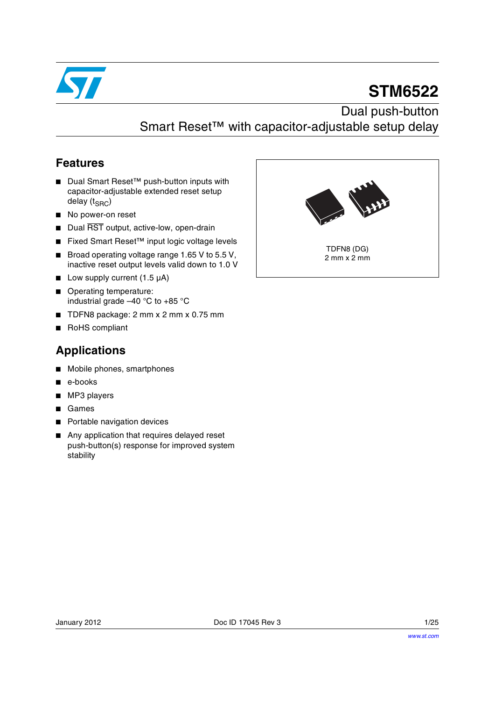

# **STM6522**

Dual push-button Smart Reset™ with capacitor-adjustable setup delay

### **Features**

- Dual Smart Reset<sup>™</sup> push-button inputs with capacitor-adjustable extended reset setup delay  $(t_{SRC})$
- No power-on reset
- Dual RST output, active-low, open-drain
- Fixed Smart Reset<sup>™</sup> input logic voltage levels
- Broad operating voltage range 1.65 V to 5.5 V, inactive reset output levels valid down to 1.0 V
- Low supply current (1.5 µA)
- Operating temperature: industrial grade –40 °C to +85 °C
- TDFN8 package: 2 mm x 2 mm x 0.75 mm
- RoHS compliant

### **Applications**

- Mobile phones, smartphones
- e-books
- MP3 players
- **Games**
- Portable navigation devices
- Any application that requires delayed reset push-button(s) response for improved system stability

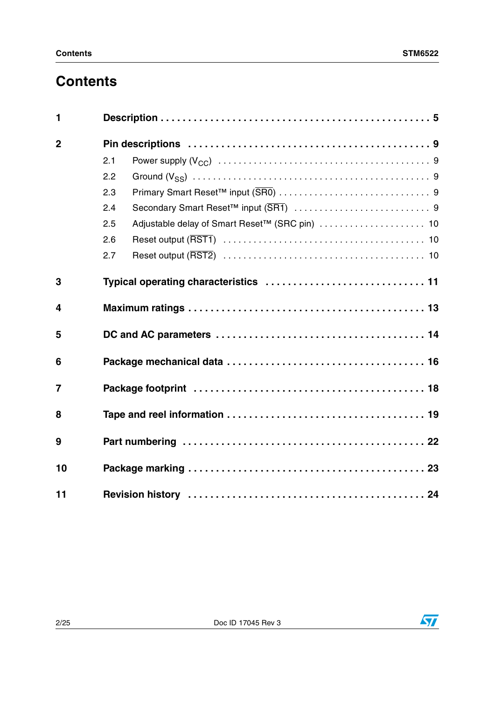## **Contents**

| 1              |     |                                       |  |
|----------------|-----|---------------------------------------|--|
| $\overline{2}$ |     |                                       |  |
|                | 2.1 |                                       |  |
|                | 2.2 |                                       |  |
|                | 2.3 |                                       |  |
|                | 2.4 |                                       |  |
|                | 2.5 |                                       |  |
|                | 2.6 |                                       |  |
|                | 2.7 |                                       |  |
| 3              |     | Typical operating characteristics  11 |  |
| 4              |     |                                       |  |
| 5              |     |                                       |  |
| 6              |     |                                       |  |
| $\overline{7}$ |     |                                       |  |
| 8              |     |                                       |  |
| 9              |     |                                       |  |
| 10             |     |                                       |  |
| 11             |     |                                       |  |

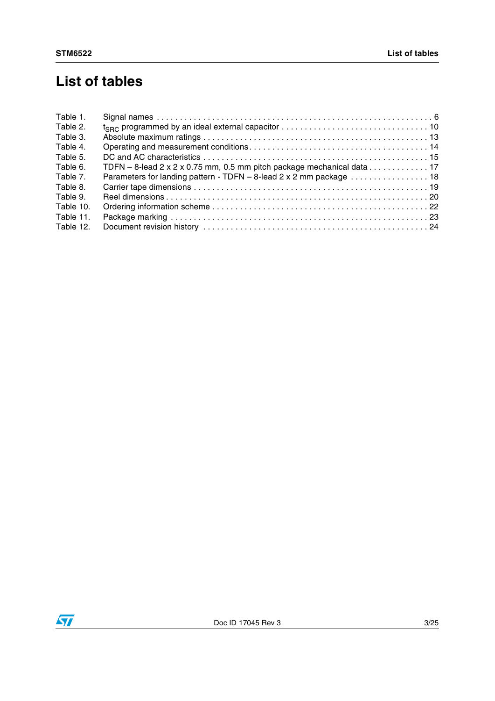## **List of tables**

| Table 1.  |                                                                                                                                    |
|-----------|------------------------------------------------------------------------------------------------------------------------------------|
| Table 2.  | $t_{\text{SRC}}$ programmed by an ideal external capacitor $\ldots \ldots \ldots \ldots \ldots \ldots \ldots \ldots \ldots \ldots$ |
| Table 3.  |                                                                                                                                    |
| Table 4.  |                                                                                                                                    |
| Table 5.  |                                                                                                                                    |
| Table 6.  | TDFN $-$ 8-lead 2 x 2 x 0.75 mm, 0.5 mm pitch package mechanical data 17                                                           |
| Table 7.  | Parameters for landing pattern - TDFN - 8-lead 2 x 2 mm package  18                                                                |
| Table 8.  |                                                                                                                                    |
| Table 9.  |                                                                                                                                    |
| Table 10. |                                                                                                                                    |
| Table 11. |                                                                                                                                    |
| Table 12. |                                                                                                                                    |

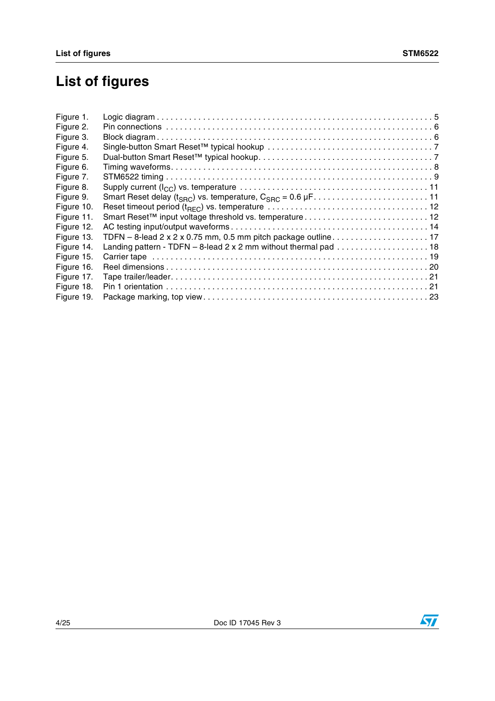## **List of figures**

| Figure 1.  |                                                                                                            |  |
|------------|------------------------------------------------------------------------------------------------------------|--|
| Figure 2.  |                                                                                                            |  |
| Figure 3.  |                                                                                                            |  |
| Figure 4.  |                                                                                                            |  |
| Figure 5.  |                                                                                                            |  |
| Figure 6.  |                                                                                                            |  |
| Figure 7.  |                                                                                                            |  |
| Figure 8.  |                                                                                                            |  |
| Figure 9.  |                                                                                                            |  |
| Figure 10. |                                                                                                            |  |
| Figure 11. |                                                                                                            |  |
| Figure 12. |                                                                                                            |  |
| Figure 13. | TDFN - 8-lead 2 x 2 x 0.75 mm, 0.5 mm pitch package outline 17                                             |  |
| Figure 14. | Landing pattern - TDFN $-$ 8-lead 2 x 2 mm without thermal pad $\ldots \ldots \ldots \ldots \ldots \ldots$ |  |
| Figure 15. |                                                                                                            |  |
| Figure 16. |                                                                                                            |  |
| Figure 17. |                                                                                                            |  |
| Figure 18. |                                                                                                            |  |
| Figure 19. |                                                                                                            |  |
|            |                                                                                                            |  |

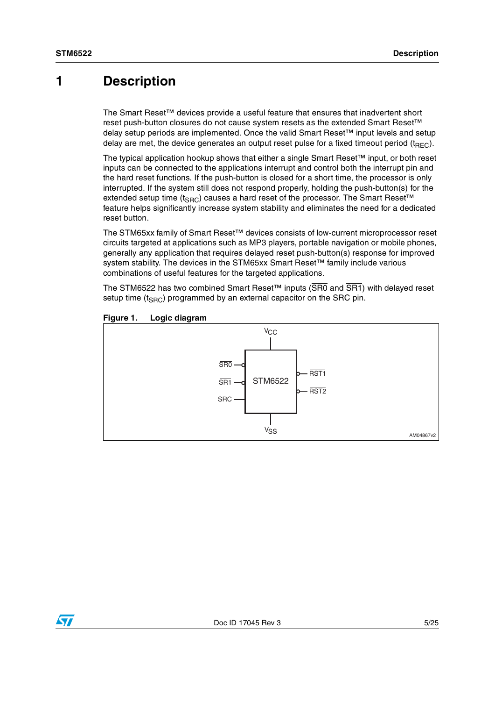## <span id="page-4-0"></span>**1 Description**

The Smart Reset™ devices provide a useful feature that ensures that inadvertent short reset push-button closures do not cause system resets as the extended Smart Reset™ delay setup periods are implemented. Once the valid Smart Reset™ input levels and setup delay are met, the device generates an output reset pulse for a fixed timeout period  $(t_{BFC})$ .

The typical application hookup shows that either a single Smart Reset™ input, or both reset inputs can be connected to the applications interrupt and control both the interrupt pin and the hard reset functions. If the push-button is closed for a short time, the processor is only interrupted. If the system still does not respond properly, holding the push-button(s) for the extended setup time ( $t_{\text{SRC}}$ ) causes a hard reset of the processor. The Smart Reset™ feature helps significantly increase system stability and eliminates the need for a dedicated reset button.

The STM65xx family of Smart Reset™ devices consists of low-current microprocessor reset circuits targeted at applications such as MP3 players, portable navigation or mobile phones, generally any application that requires delayed reset push-button(s) response for improved system stability. The devices in the STM65xx Smart Reset™ family include various combinations of useful features for the targeted applications.

The STM6522 has two combined Smart Reset™ inputs ( $\overline{\text{SRO}}$  and  $\overline{\text{SRI}}$ ) with delayed reset setup time  $(t_{SBC})$  programmed by an external capacitor on the SRC pin.



### <span id="page-4-1"></span>**Figure 1. Logic diagram**

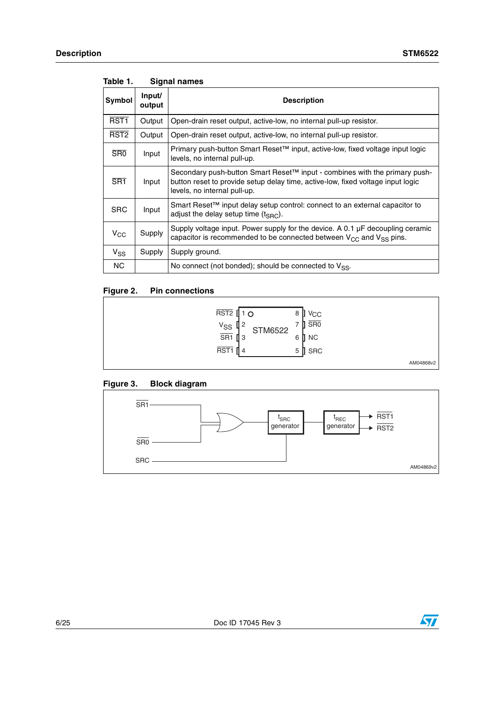| Symbol           | Input/<br>output | <b>Description</b>                                                                                                                                                                                        |
|------------------|------------------|-----------------------------------------------------------------------------------------------------------------------------------------------------------------------------------------------------------|
| RST <sub>1</sub> | Output           | Open-drain reset output, active-low, no internal pull-up resistor.                                                                                                                                        |
| RST <sub>2</sub> | Output           | Open-drain reset output, active-low, no internal pull-up resistor.                                                                                                                                        |
| SR <sub>0</sub>  | Input            | Primary push-button Smart Reset™ input, active-low, fixed voltage input logic<br>levels, no internal pull-up.                                                                                             |
| $\overline{SR1}$ | Input            | Secondary push-button Smart Reset <sup>™</sup> input - combines with the primary push-<br>button reset to provide setup delay time, active-low, fixed voltage input logic<br>levels, no internal pull-up. |
| <b>SRC</b>       | Input            | Smart Reset <sup>™</sup> input delay setup control: connect to an external capacitor to<br>adjust the delay setup time $(t_{SBC})$ .                                                                      |
| $V_{CC}$         | Supply           | Supply voltage input. Power supply for the device. A 0.1 µF decoupling ceramic<br>capacitor is recommended to be connected between $V_{CC}$ and $V_{SS}$ pins.                                            |
| $V_{SS}$         | Supply           | Supply ground.                                                                                                                                                                                            |
| <b>NC</b>        |                  | No connect (not bonded); should be connected to $V_{SS}$ .                                                                                                                                                |

#### <span id="page-5-0"></span>Table 1. **Signal names**

### <span id="page-5-1"></span>**Figure 2. Pin connections**



### <span id="page-5-2"></span>**Figure 3. Block diagram**



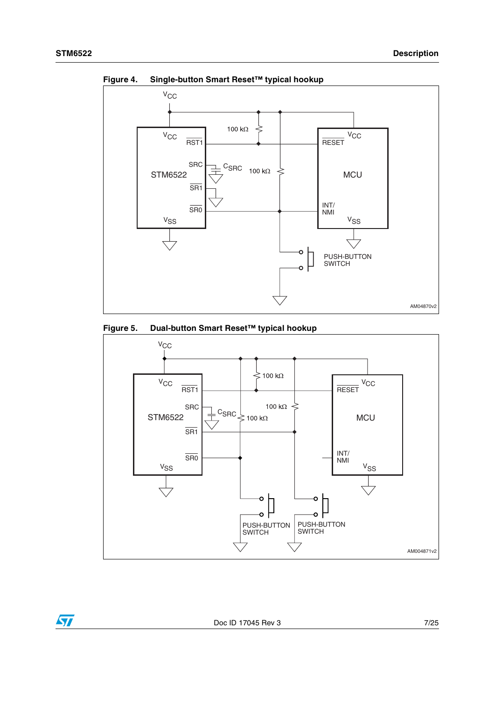$\overline{\textbf{S}}$ 



<span id="page-6-0"></span>**Figure 4. Single-button Smart Reset™ typical hookup**

<span id="page-6-1"></span>

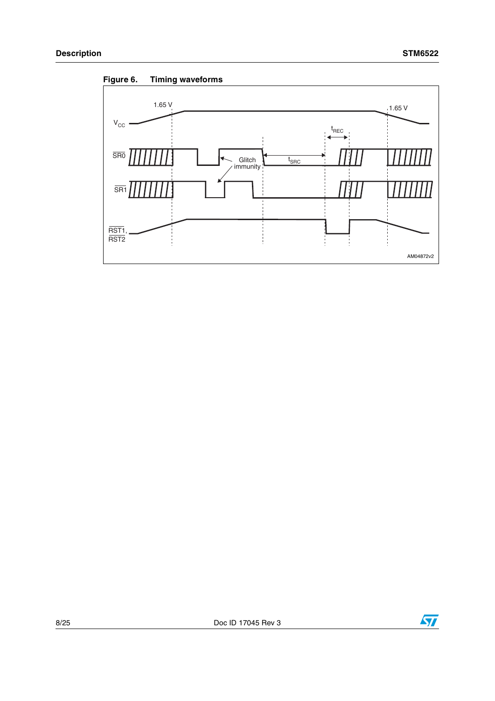<span id="page-7-0"></span>



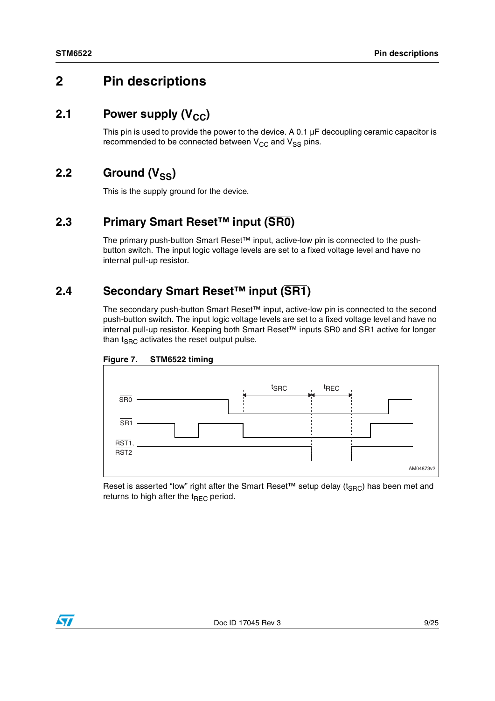## <span id="page-8-0"></span>**2 Pin descriptions**

### <span id="page-8-1"></span>**2.1** Power supply (V<sub>CC</sub>)

This pin is used to provide the power to the device. A 0.1  $\mu$ F decoupling ceramic capacitor is recommended to be connected between  $V_{CC}$  and  $V_{SS}$  pins.

### <span id="page-8-2"></span>2.2 Ground (V<sub>SS</sub>)

This is the supply ground for the device.

### <span id="page-8-3"></span>**2.3 Primary Smart Reset™ input (SR0)**

The primary push-button Smart Reset™ input, active-low pin is connected to the pushbutton switch. The input logic voltage levels are set to a fixed voltage level and have no internal pull-up resistor.

### <span id="page-8-4"></span>**2.4 Secondary Smart Reset™ input (SR1)**

The secondary push-button Smart Reset™ input, active-low pin is connected to the second push-button switch. The input logic voltage levels are set to a fixed voltage level and have no internal pull-up resistor. Keeping both Smart Reset™ inputs SR0 and SR1 active for longer than  $t_{SRC}$  activates the reset output pulse.



<span id="page-8-5"></span>

Reset is asserted "low" right after the Smart Reset<sup>TM</sup> setup delay (t<sub>SRC</sub>) has been met and returns to high after the  $t_{\text{BFC}}$  period.

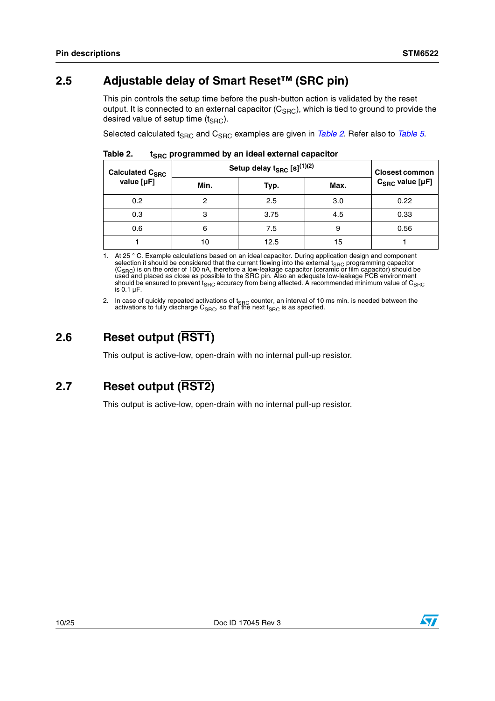### <span id="page-9-0"></span>**2.5 Adjustable delay of Smart Reset™ (SRC pin)**

This pin controls the setup time before the push-button action is validated by the reset output. It is connected to an external capacitor  $(C<sub>SBC</sub>)$ , which is tied to ground to provide the desired value of setup time  $(t_{SBC})$ .

Selected calculated t<sub>SRC</sub> and C<sub>SRC</sub> examples are given in *[Table 2](#page-9-3)*. Refer also to *[Table 5](#page-14-0)*.

| .                      |                                       |                       |      |                            |
|------------------------|---------------------------------------|-----------------------|------|----------------------------|
| <b>Calculated CSRC</b> | Setup delay $t_{SRC}$ [s] $^{(1)(2)}$ | <b>Closest common</b> |      |                            |
| value $[\mu F]$        | Min.                                  | Typ.                  | Max. | $C_{SRC}$ value [ $\mu$ F] |
| 0.2                    |                                       | 2.5                   | 3.0  | 0.22                       |
| 0.3                    | 3                                     | 3.75                  | 4.5  | 0.33                       |
| 0.6                    | 6                                     | 7.5                   | 9    | 0.56                       |
|                        | 10                                    | 12.5                  | 15   |                            |

<span id="page-9-3"></span>Table 2. **Table 2. tSRC programmed by an ideal external capacitor** 

1. At 25 ° C. Example calculations based on an ideal capacitor. During application design and component selection it should be considered that the current flowing into the external t<sub>SRC</sub> programming capacitor<br>(C<sub>SRC</sub>) is on the order of 100 nA, therefore a low-leakage capacitor (ceramic or film capacitor) should be used and placed as close as possible to the SRC pin. Also an adequate low-leakage PCB environment should be ensured to prevent t<sub>SRC</sub> accuracy from being affected. A recommended minimum value of  $\mathsf{C}_{\mathsf{SRC}}$ is 0.1 µF.

2. In case of quickly repeated activations of t<sub>SRC</sub> counter, an interval of 10 ms min. is needed between the activations to fully discharge C<sub>SRC</sub>, so that the next t<sub>SRC</sub> is as specified.

## <span id="page-9-1"></span>**2.6 Reset output (RST1)**

This output is active-low, open-drain with no internal pull-up resistor.

## <span id="page-9-2"></span>**2.7 Reset output (RST2)**

This output is active-low, open-drain with no internal pull-up resistor.

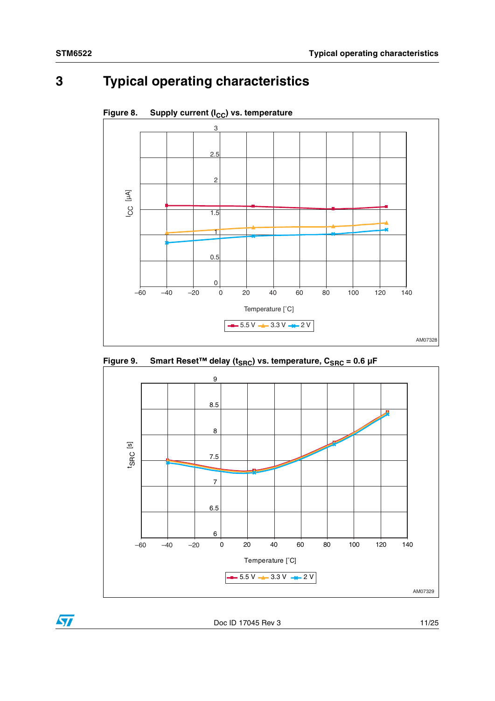# <span id="page-10-0"></span>**3 Typical operating characteristics**



Figure 8. Supply current (I<sub>CC</sub>) vs. temperature





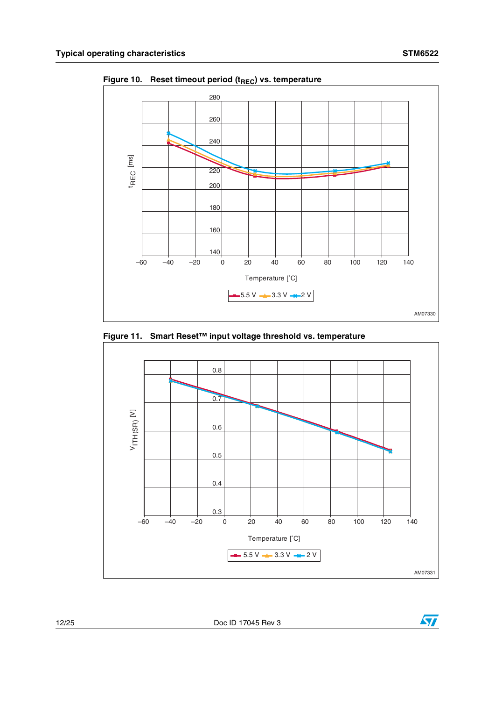

Figure 10. Reset timeout period (t<sub>REC</sub>) vs. temperature

<span id="page-11-0"></span>**Figure 11. Smart Reset™ input voltage threshold vs. temperature**



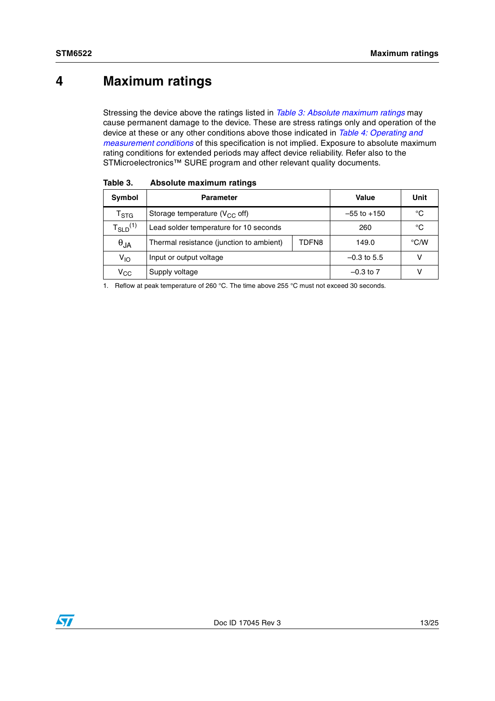## <span id="page-12-0"></span>**4 Maximum ratings**

Stressing the device above the ratings listed in *[Table 3: Absolute maximum ratings](#page-12-1)* may cause permanent damage to the device. These are stress ratings only and operation of the device at these or any other conditions above those indicated in *[Table 4: Operating and](#page-13-1)  [measurement conditions](#page-13-1)* of this specification is not implied. Exposure to absolute maximum rating conditions for extended periods may affect device reliability. Refer also to the STMicroelectronics™ SURE program and other relevant quality documents.

| Symbol                    | <b>Parameter</b>                         |       | Value           | Unit |
|---------------------------|------------------------------------------|-------|-----------------|------|
| $\mathsf{T}_{\text{STG}}$ | Storage temperature $(V_{CC}$ off)       |       | $-55$ to $+150$ | °C   |
| $T_{SLD}^{(1)}$           | Lead solder temperature for 10 seconds   |       | 260             | °C   |
| $\theta_{JA}$             | Thermal resistance (junction to ambient) | TDFN8 | 149.0           | °C/W |
| V <sub>IO</sub>           | Input or output voltage                  |       | $-0.3$ to 5.5   |      |
| $\rm v_{cc}$              | Supply voltage                           |       | $-0.3$ to $7$   |      |

<span id="page-12-1"></span>Table 3. **Absolute maximum ratings** 

1. Reflow at peak temperature of 260 °C. The time above 255 °C must not exceed 30 seconds.

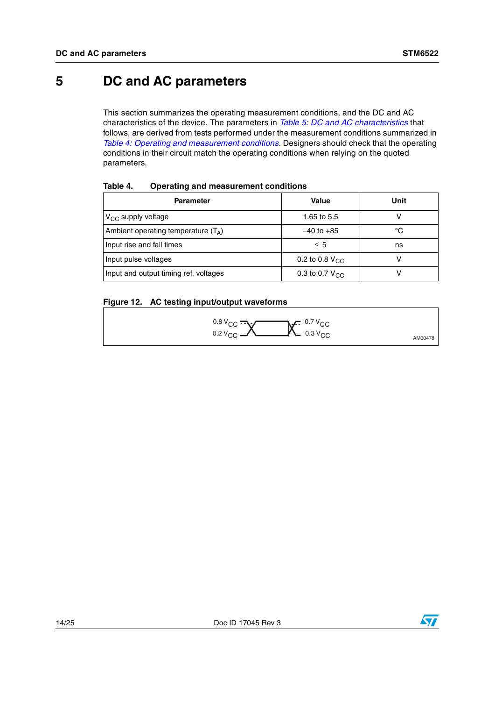## <span id="page-13-0"></span>**5 DC and AC parameters**

This section summarizes the operating measurement conditions, and the DC and AC characteristics of the device. The parameters in *[Table 5: DC and AC characteristics](#page-14-0)* that follows, are derived from tests performed under the measurement conditions summarized in *[Table 4: Operating and measurement conditions](#page-13-1)*. Designers should check that the operating conditions in their circuit match the operating conditions when relying on the quoted parameters.

| <b>Parameter</b>                             | Value                      | Unit |
|----------------------------------------------|----------------------------|------|
| $V_{CC}$ supply voltage                      | 1.65 to 5.5                |      |
| Ambient operating temperature $(T_{\Delta})$ | $-40$ to $+85$             | °C   |
| Input rise and fall times                    | $\leq 5$                   | ns   |
| Input pulse voltages                         | 0.2 to 0.8 $V_{\text{CC}}$ |      |
| Input and output timing ref. voltages        | 0.3 to 0.7 $V_{CC}$        |      |

### <span id="page-13-1"></span>**Table 4. Operating and measurement conditions**

### <span id="page-13-2"></span>**Figure 12. AC testing input/output waveforms**



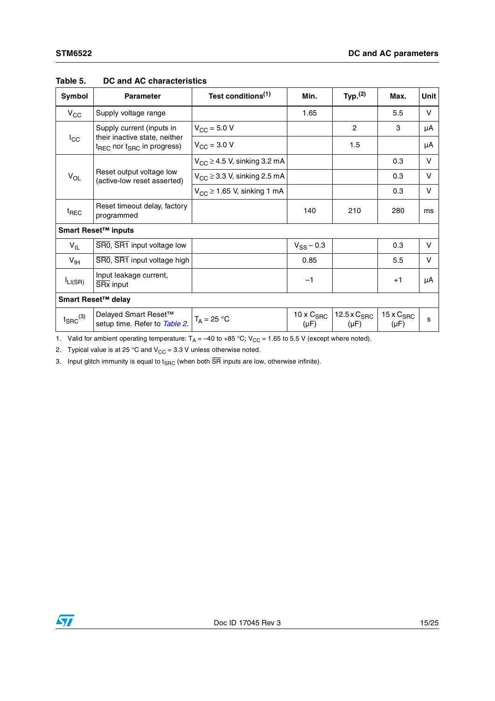| Symbol                 | <b>Parameter</b>                                                                    | Test conditions <sup>(1)</sup>              | Min.                             | Typ. <sup>(2)</sup>           | Max.                             | Unit |  |
|------------------------|-------------------------------------------------------------------------------------|---------------------------------------------|----------------------------------|-------------------------------|----------------------------------|------|--|
| $V_{CC}$               | Supply voltage range                                                                |                                             | 1.65                             |                               | 5.5                              | V    |  |
|                        | Supply current (inputs in                                                           | $V_{\rm CC} = 5.0 V$                        |                                  | $\mathbf{2}$                  | 3                                | μA   |  |
| $I_{\rm CC}$           | their inactive state, neither<br>t <sub>REC</sub> nor t <sub>SRC</sub> in progress) | $V_{CC}$ = 3.0 V                            |                                  | 1.5                           |                                  | μA   |  |
|                        |                                                                                     | $V_{CC} \geq 4.5$ V, sinking 3.2 mA         |                                  |                               | 0.3                              | v    |  |
| $V_{OL}$               | Reset output voltage low<br>(active-low reset asserted)                             | $V_{CC} \geq 3.3$ V, sinking 2.5 mA         |                                  |                               | 0.3                              | V    |  |
|                        |                                                                                     | $V_{\text{CC}}$ $\geq$ 1.65 V, sinking 1 mA |                                  |                               | 0.3                              | V    |  |
| <sup>t</sup> REC       | Reset timeout delay, factory<br>programmed                                          |                                             | 140                              | 210                           | 280                              | ms   |  |
|                        | Smart Reset™ inputs                                                                 |                                             |                                  |                               |                                  |      |  |
| $V_{IL}$               | SR0, SR1 input voltage low                                                          |                                             | $V_{SS}$ – 0.3                   |                               | 0.3                              | V    |  |
| $V_{\text{IH}}$        | SRO, SR1 input voltage high                                                         |                                             | 0.85                             |                               | 5.5                              | V    |  |
| $I_{LI(SR)}$           | Input leakage current,<br>SR <sub>x</sub> input                                     |                                             | $-1$                             |                               | $+1$                             | μA   |  |
|                        | Smart Reset™ delay                                                                  |                                             |                                  |                               |                                  |      |  |
| $t_{\text{SRC}}^{(3)}$ | Delayed Smart Reset™<br>setup time. Refer to Table 2.                               | $T_A = 25 °C$                               | $10 \times C_{SRC}$<br>$(\mu F)$ | 12.5 x $C_{SRC}$<br>$(\mu F)$ | $15 \times C_{SRC}$<br>$(\mu F)$ | S    |  |

### <span id="page-14-0"></span>**Table 5. DC and AC characteristics**

1. Valid for ambient operating temperature:  $T_A = -40$  to +85 °C; V<sub>CC</sub> = 1.65 to 5.5 V (except where noted).

2. Typical value is at 25 °C and  $V_{CC} = 3.3$  V unless otherwise noted.

3. Input glitch immunity is equal to  $t_{SRC}$  (when both  $\overline{SR}$  inputs are low, otherwise infinite).

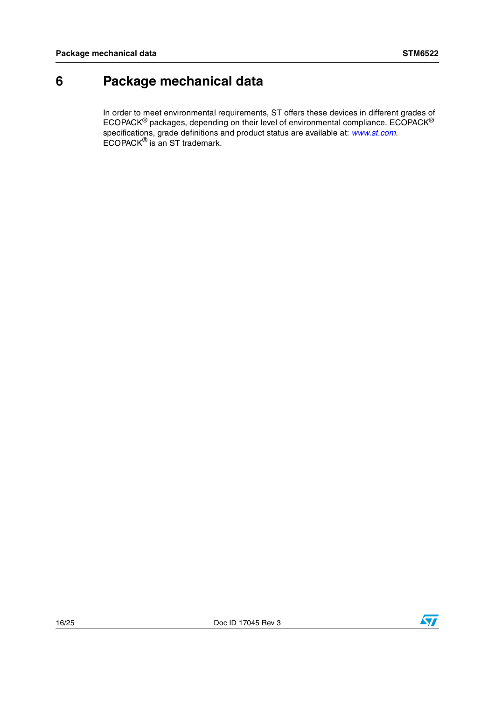## <span id="page-15-0"></span>**6 Package mechanical data**

In order to meet environmental requirements, ST offers these devices in different grades of ECOPACK® packages, depending on their level of environmental compliance. ECOPACK® specifications, grade definitions and product status are available at: *[www.st.com](http://www.st.com)*. ECOPACK<sup>®</sup> is an ST trademark.

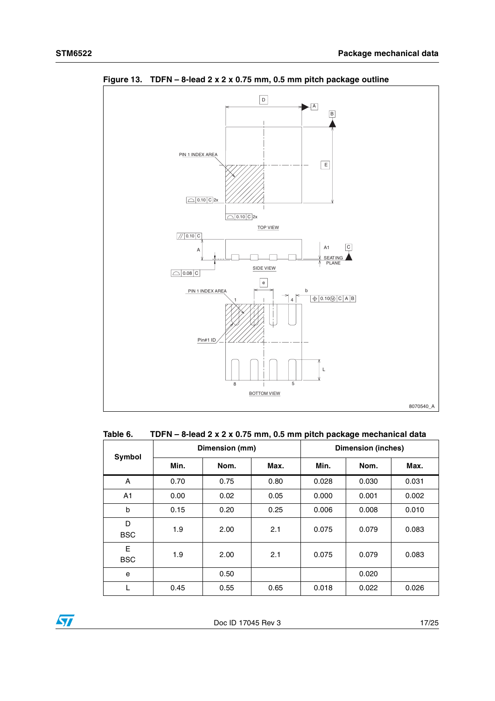

<span id="page-16-1"></span>**Figure 13. TDFN – 8-lead 2 x 2 x 0.75 mm, 0.5 mm pitch package outline**

<span id="page-16-0"></span>

| Table 6. |  | TDFN - 8-lead 2 x 2 x 0.75 mm, 0.5 mm pitch package mechanical data |  |
|----------|--|---------------------------------------------------------------------|--|
|----------|--|---------------------------------------------------------------------|--|

| Symbol          | Dimension (mm) |      |      | <b>Dimension (inches)</b> |       |       |
|-----------------|----------------|------|------|---------------------------|-------|-------|
|                 | Min.           | Nom. | Max. | Min.                      | Nom.  | Max.  |
| A               | 0.70           | 0.75 | 0.80 | 0.028                     | 0.030 | 0.031 |
| A1              | 0.00           | 0.02 | 0.05 | 0.000                     | 0.001 | 0.002 |
| b               | 0.15           | 0.20 | 0.25 | 0.006                     | 0.008 | 0.010 |
| D<br><b>BSC</b> | 1.9            | 2.00 | 2.1  | 0.075                     | 0.079 | 0.083 |
| Е<br><b>BSC</b> | 1.9            | 2.00 | 2.1  | 0.075                     | 0.079 | 0.083 |
| e               |                | 0.50 |      |                           | 0.020 |       |
| L               | 0.45           | 0.55 | 0.65 | 0.018                     | 0.022 | 0.026 |

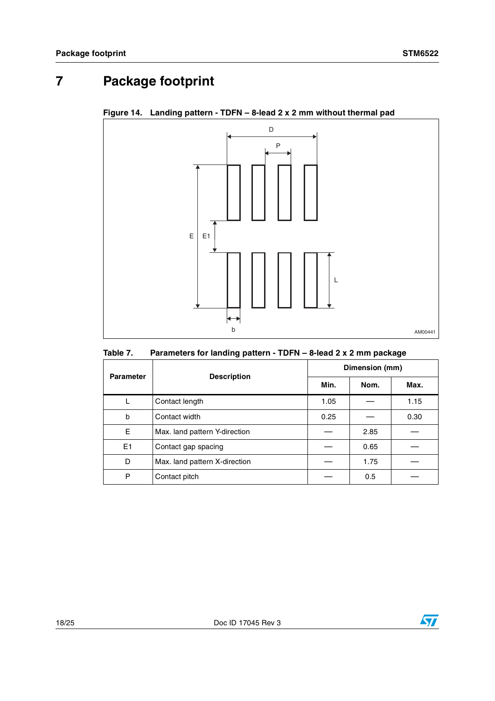## <span id="page-17-0"></span>**7 Package footprint**

<span id="page-17-2"></span>**Figure 14. Landing pattern - TDFN – 8-lead 2 x 2 mm without thermal pad**



<span id="page-17-1"></span>

| Table 7. | Parameters for landing pattern - TDFN - 8-lead 2 x 2 mm package |
|----------|-----------------------------------------------------------------|
|----------|-----------------------------------------------------------------|

| <b>Parameter</b> | <b>Description</b>            | Dimension (mm) |      |      |  |
|------------------|-------------------------------|----------------|------|------|--|
|                  |                               | Min.           | Nom. | Max. |  |
|                  | Contact length                | 1.05           |      | 1.15 |  |
| b                | Contact width                 | 0.25           |      | 0.30 |  |
| Е                | Max. land pattern Y-direction |                | 2.85 |      |  |
| E1               | Contact gap spacing           |                | 0.65 |      |  |
| D                | Max. land pattern X-direction |                | 1.75 |      |  |
| P                | Contact pitch                 |                | 0.5  |      |  |

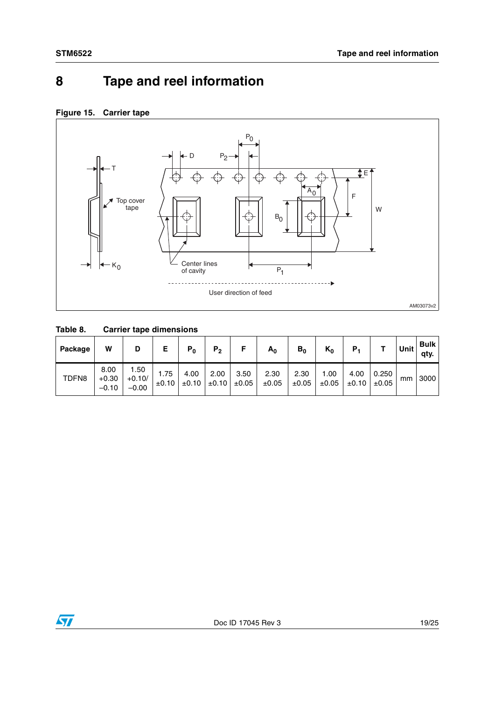## <span id="page-18-0"></span>**8 Tape and reel information**

### <span id="page-18-2"></span>**Figure 15. Carrier tape**



### <span id="page-18-1"></span>**Table 8. Carrier tape dimensions**

| Package | W                          | D                           |               | $P_0$              | P <sub>2</sub>     |               | $A_0$         | $B_0$         | $K_0$              | Р,                 |                | Unit | <b>Bulk</b><br>qty. |
|---------|----------------------------|-----------------------------|---------------|--------------------|--------------------|---------------|---------------|---------------|--------------------|--------------------|----------------|------|---------------------|
| TDFN8   | 8.00<br>$+0.30$<br>$-0.10$ | 1.50<br>$+0.10/$<br>$-0.00$ | 1.75<br>±0.10 | 4.00<br>$\pm 0.10$ | 2.00<br>$\pm 0.10$ | 3.50<br>±0.05 | 2.30<br>±0.05 | 2.30<br>±0.05 | 1.00<br>$\pm 0.05$ | 4.00<br>$\pm 0.10$ | 0.250<br>±0.05 | mm   | 3000                |

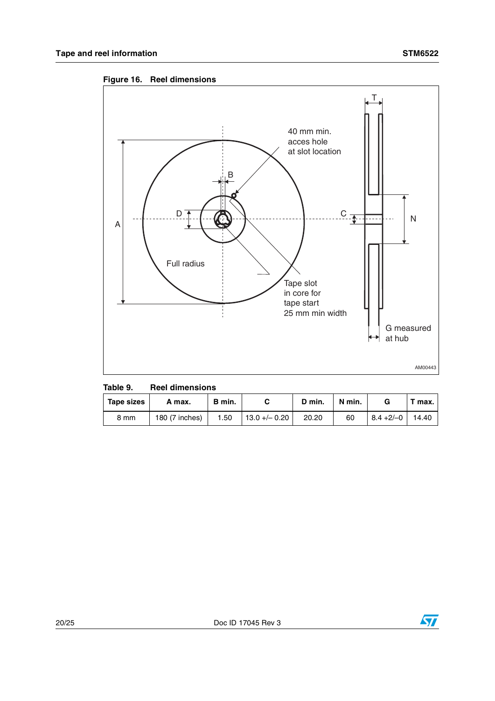<span id="page-19-1"></span>



<span id="page-19-0"></span>

| Table 9. |  | <b>Reel dimensions</b> |  |
|----------|--|------------------------|--|
|          |  |                        |  |

| Tape sizes | A max.         | B min. |                 | D min. | N min. |              | $\mathbf{r}$ max. |
|------------|----------------|--------|-----------------|--------|--------|--------------|-------------------|
| 8 mm       | 180 (7 inches) | 1.50   | $13.0 + - 0.20$ | 20.20  | 60     | $8.4 + 2/-0$ | 14.40             |

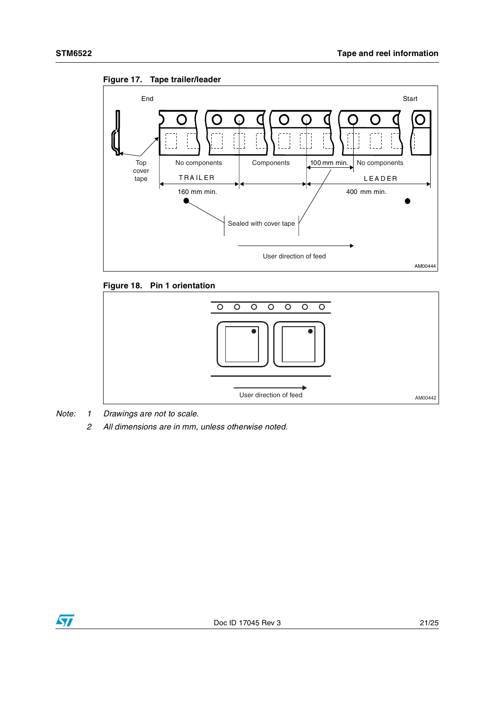

<span id="page-20-0"></span>

<span id="page-20-1"></span>



*Note: 1 Drawings are not to scale.*

*2 All dimensions are in mm, unless otherwise noted.*

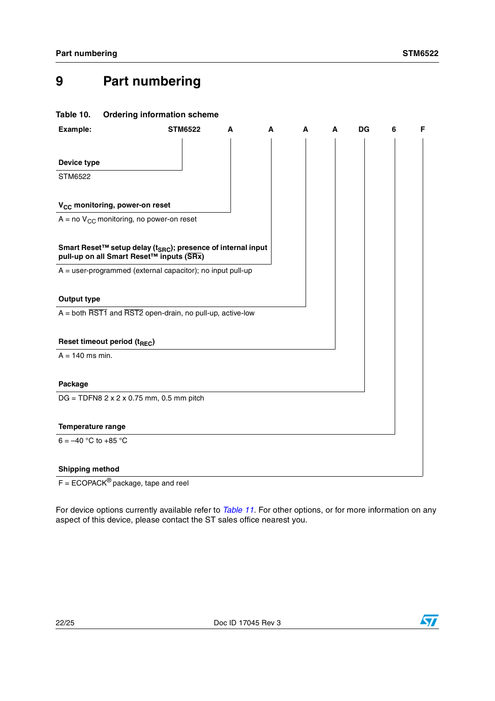## <span id="page-21-0"></span>**9 Part numbering**

### <span id="page-21-1"></span>**Table 10. Ordering information scheme**

| Example:                                                                                                             | <b>STM6522</b> | A | A | А | A | <b>DG</b> | 6 | F. |
|----------------------------------------------------------------------------------------------------------------------|----------------|---|---|---|---|-----------|---|----|
| Device type                                                                                                          |                |   |   |   |   |           |   |    |
|                                                                                                                      |                |   |   |   |   |           |   |    |
| <b>STM6522</b>                                                                                                       |                |   |   |   |   |           |   |    |
| V <sub>CC</sub> monitoring, power-on reset                                                                           |                |   |   |   |   |           |   |    |
| $A = no$ V <sub>CC</sub> monitoring, no power-on reset                                                               |                |   |   |   |   |           |   |    |
| Smart Reset™ setup delay (t <sub>SRC</sub> ); presence of internal input<br>pull-up on all Smart Reset™ inputs (SRx) |                |   |   |   |   |           |   |    |
| $A = user-programmed$ (external capacitor); no input pull-up                                                         |                |   |   |   |   |           |   |    |
| <b>Output type</b>                                                                                                   |                |   |   |   |   |           |   |    |
| $A =$ both $\overline{RST1}$ and $\overline{RST2}$ open-drain, no pull-up, active-low                                |                |   |   |   |   |           |   |    |
| Reset timeout period (t <sub>REC</sub> )                                                                             |                |   |   |   |   |           |   |    |
| $A = 140$ ms min.                                                                                                    |                |   |   |   |   |           |   |    |
| Package                                                                                                              |                |   |   |   |   |           |   |    |
| $DG = TDFN8 2 x 2 x 0.75 mm, 0.5 mm pitch$                                                                           |                |   |   |   |   |           |   |    |
| Temperature range                                                                                                    |                |   |   |   |   |           |   |    |
| $6 = -40$ °C to +85 °C                                                                                               |                |   |   |   |   |           |   |    |
| <b>Shipping method</b>                                                                                               |                |   |   |   |   |           |   |    |

 $F = ECOPACK^®$  package, tape and reel

For device options currently available refer to *[Table 11](#page-22-1)*. For other options, or for more information on any aspect of this device, please contact the ST sales office nearest you.

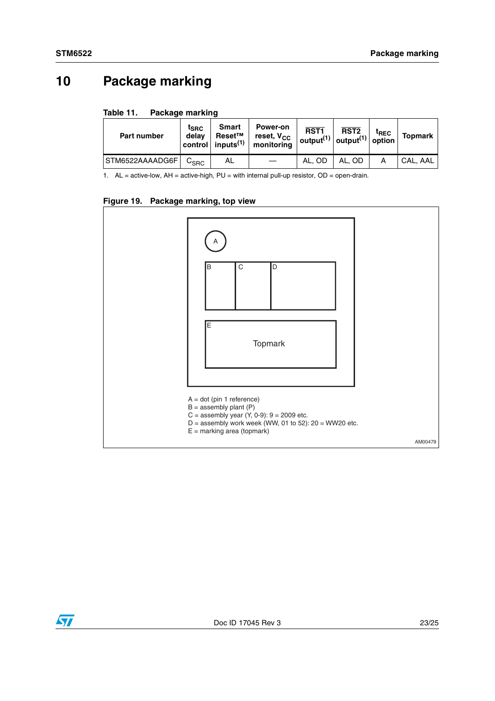## <span id="page-22-0"></span>**10 Package marking**

<span id="page-22-1"></span>

| Table 11. | Package marking |  |
|-----------|-----------------|--|
|           |                 |  |

| <b>Part number</b> | $t_{\mathsf{SRC}}$<br>delav | Smart<br>Reset™<br>control inputs $^{(1)}$ | Power-on<br>reset, V <sub>CC</sub><br>monitorina | RST <sub>1</sub> | RST <sub>2</sub><br>output <sup>(1)</sup> output <sup>(1)</sup> option | $t_{\sf REC}$ | Topmark  |
|--------------------|-----------------------------|--------------------------------------------|--------------------------------------------------|------------------|------------------------------------------------------------------------|---------------|----------|
| STM6522AAAADG6F    | $C_{SRC}$                   | AL                                         |                                                  | AL. OD           | AL. OD                                                                 |               | CAL. AAL |

1. AL = active-low, AH = active-high, PU = with internal pull-up resistor, OD = open-drain.

### <span id="page-22-2"></span>**Figure 19. Package marking, top view**



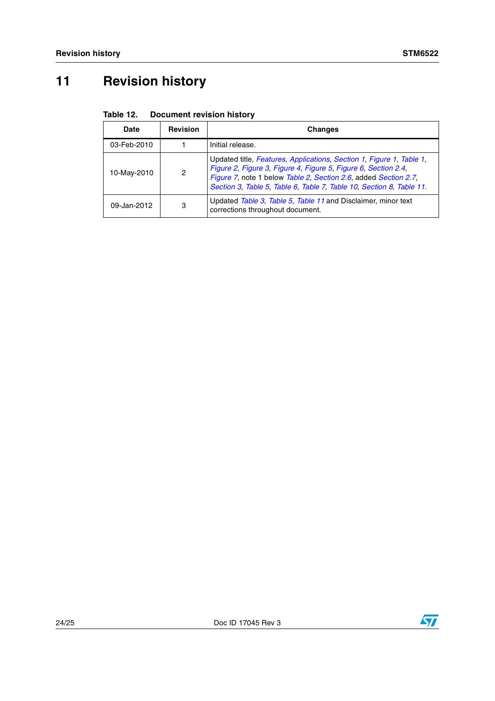## <span id="page-23-0"></span>**11 Revision history**

<span id="page-23-1"></span>

| Table 12.<br><b>Document revision history</b> |  |  |
|-----------------------------------------------|--|--|
|-----------------------------------------------|--|--|

| <b>Date</b> | <b>Revision</b> | <b>Changes</b>                                                                                                                                                                                                                                                                    |
|-------------|-----------------|-----------------------------------------------------------------------------------------------------------------------------------------------------------------------------------------------------------------------------------------------------------------------------------|
| 03-Feb-2010 |                 | Initial release.                                                                                                                                                                                                                                                                  |
| 10-May-2010 | 2               | Updated title, Features, Applications, Section 1, Figure 1, Table 1,<br>Figure 2, Figure 3, Figure 4, Figure 5, Figure 6, Section 2.4,<br>Figure 7, note 1 below Table 2, Section 2.6, added Section 2.7,<br>Section 3, Table 5, Table 6, Table 7, Table 10, Section 8, Table 11. |
| 09-Jan-2012 | 3               | Updated Table 3, Table 5, Table 11 and Disclaimer, minor text<br>corrections throughout document.                                                                                                                                                                                 |